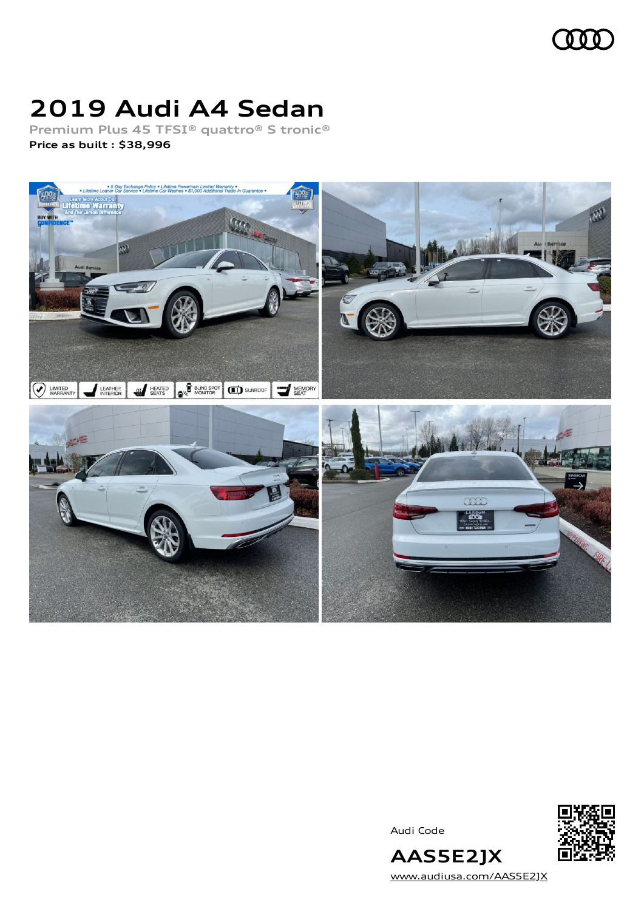

### **2019 Audi A4 Sedan**

**Premium Plus 45 TFSI® quattro® S tronic® Price as built [:](#page-8-0) \$38,996**



Audi Code



[www.audiusa.com/AAS5E2JX](https://www.audiusa.com/AAS5E2JX)

**AAS5E2JX**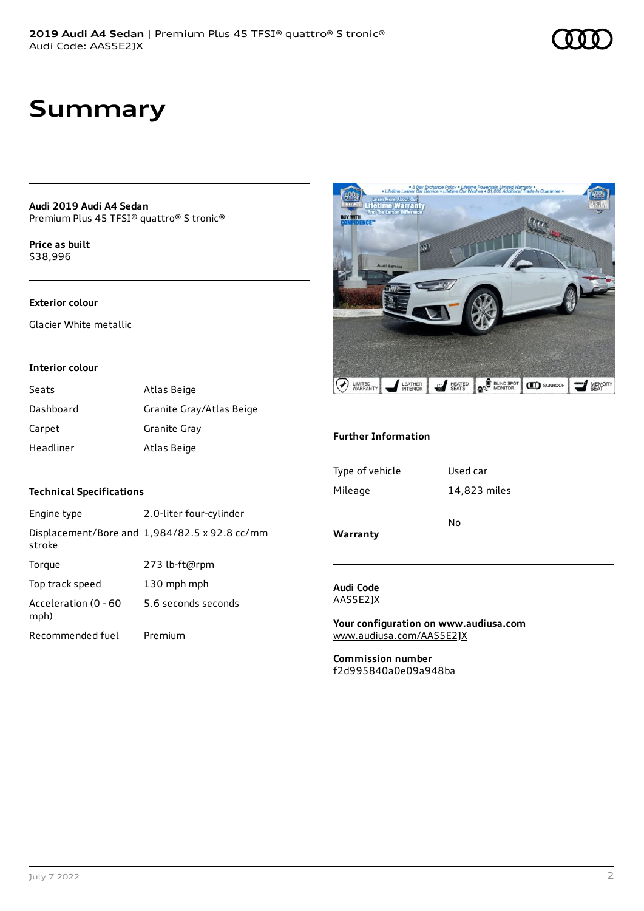### **Summary**

**Audi 2019 Audi A4 Sedan** Premium Plus 45 TFSI® quattro® S tronic®

**Price as buil[t](#page-8-0)** \$38,996

#### **Exterior colour**

Glacier White metallic

#### **Interior colour**

| Seats     | Atlas Beige              |
|-----------|--------------------------|
| Dashboard | Granite Gray/Atlas Beige |
| Carpet    | Granite Gray             |
| Headliner | Atlas Beige              |

#### **Technical Specifications**

| Engine type                  | 2.0-liter four-cylinder                       |
|------------------------------|-----------------------------------------------|
| stroke                       | Displacement/Bore and 1,984/82.5 x 92.8 cc/mm |
| Torque                       | 273 lb-ft@rpm                                 |
| Top track speed              | 130 mph mph                                   |
| Acceleration (0 - 60<br>mph) | 5.6 seconds seconds                           |
| Recommended fuel             | Premium                                       |



#### **Further Information**

| Type of vehicle | Used car     |
|-----------------|--------------|
| Mileage         | 14,823 miles |
| Warranty        | No           |

#### **Audi Code** AAS5E2JX

**Your configuration on www.audiusa.com** [www.audiusa.com/AAS5E2JX](https://www.audiusa.com/AAS5E2JX)

**Commission number** f2d995840a0e09a948ba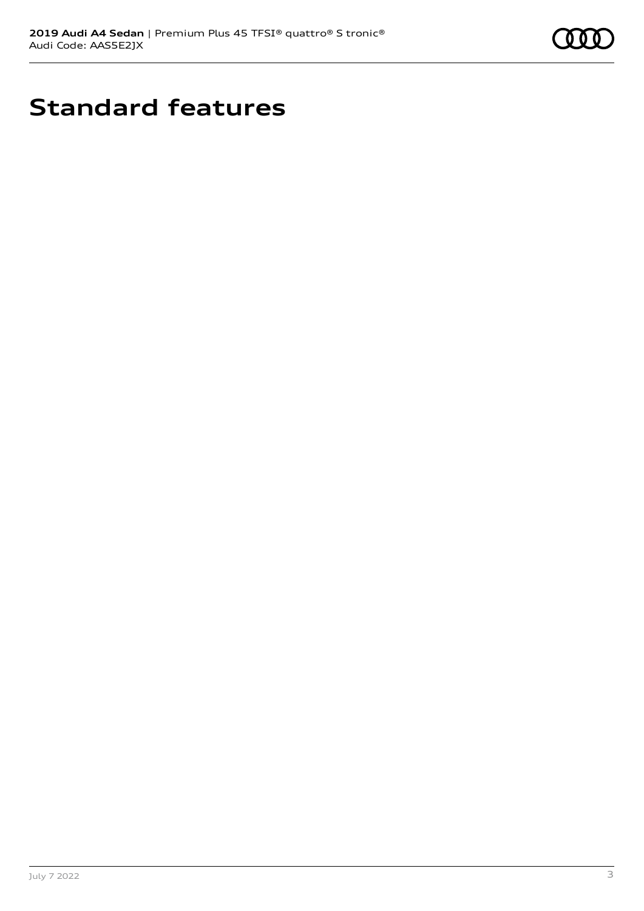

## **Standard features**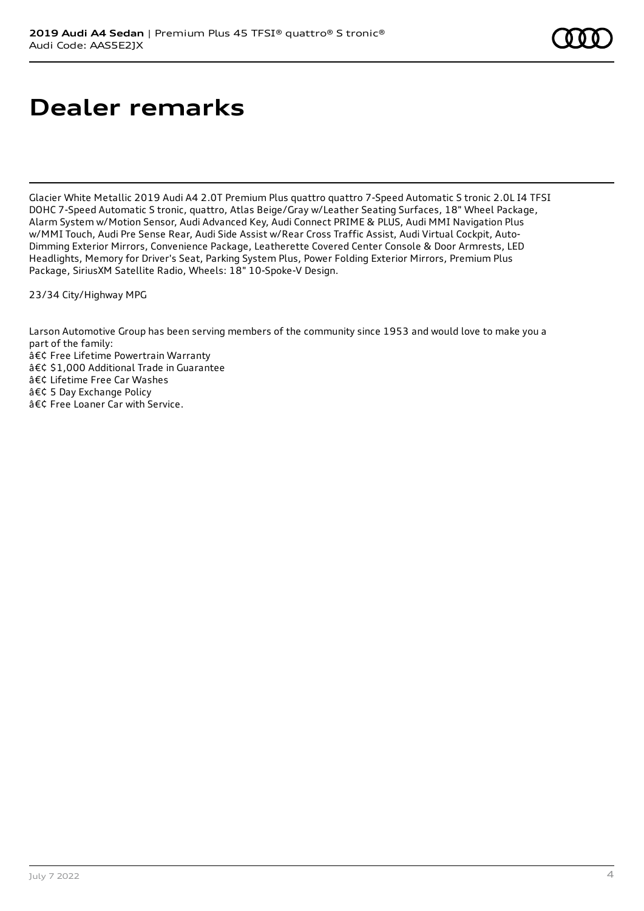## **Dealer remarks**

Glacier White Metallic 2019 Audi A4 2.0T Premium Plus quattro quattro 7-Speed Automatic S tronic 2.0L I4 TFSI DOHC 7-Speed Automatic S tronic, quattro, Atlas Beige/Gray w/Leather Seating Surfaces, 18" Wheel Package, Alarm System w/Motion Sensor, Audi Advanced Key, Audi Connect PRIME & PLUS, Audi MMI Navigation Plus w/MMI Touch, Audi Pre Sense Rear, Audi Side Assist w/Rear Cross Traffic Assist, Audi Virtual Cockpit, Auto-Dimming Exterior Mirrors, Convenience Package, Leatherette Covered Center Console & Door Armrests, LED Headlights, Memory for Driver's Seat, Parking System Plus, Power Folding Exterior Mirrors, Premium Plus Package, SiriusXM Satellite Radio, Wheels: 18" 10-Spoke-V Design.

23/34 City/Highway MPG

Larson Automotive Group has been serving members of the community since 1953 and would love to make you a part of the family: • Free Lifetime Powertrain Warranty • \$1,000 Additional Trade in Guarantee • Lifetime Free Car Washes • 5 Day Exchange Policy • Free Loaner Car with Service.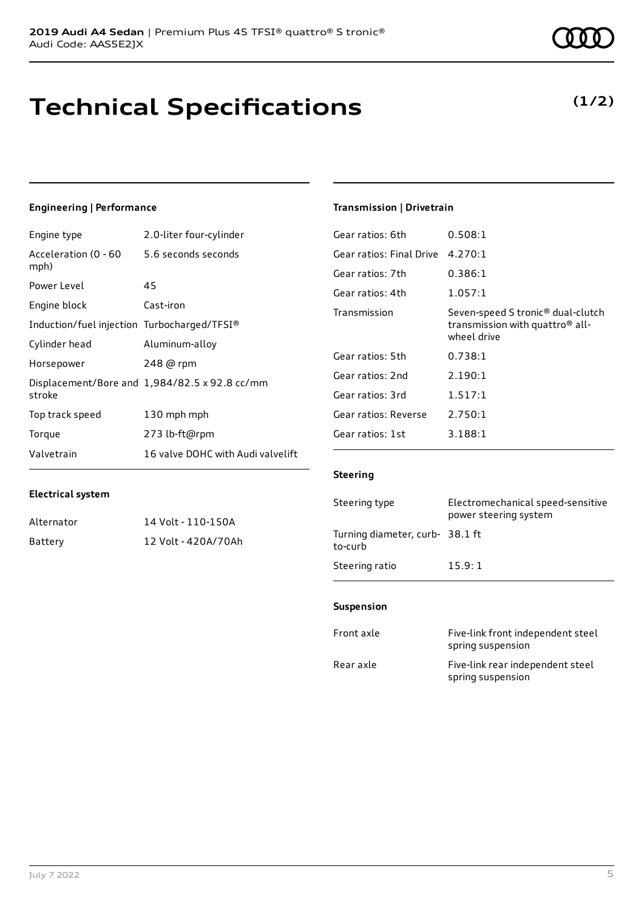### **Technical Specifications**

July 7 2022 5

### **Engineering | Performance**

**Electrical system**

Engine type 2.0-liter four-cylinder

Alternator 14 Volt - 110-150A Battery 12 Volt - 420A/70Ah

| Acceleration (0 - 60<br>mph)                | 5.6 seconds seconds                           |
|---------------------------------------------|-----------------------------------------------|
| Power Level                                 | 45                                            |
| Engine block                                | Cast-iron                                     |
| Induction/fuel injection Turbocharged/TFSI® |                                               |
| Cylinder head                               | Aluminum-alloy                                |
| Horsepower                                  | 248 @ rpm                                     |
| stroke                                      | Displacement/Bore and 1,984/82.5 x 92.8 cc/mm |
| Top track speed                             | 130 mph mph                                   |
| Torque                                      | 273 lb-ft@rpm                                 |
| Valvetrain                                  | 16 valve DOHC with Audi valvelift             |

#### **Transmission | Drivetrain**

| Gear ratios: 6th         | 0.508:1                                                                                                     |
|--------------------------|-------------------------------------------------------------------------------------------------------------|
| Gear ratios: Final Drive | 4.270:1                                                                                                     |
| Gear ratios: 7th         | 0.386:1                                                                                                     |
| Gear ratios: 4th         | 1.057:1                                                                                                     |
| Transmission             | Seven-speed S tronic <sup>®</sup> dual-clutch<br>transmission with quattro <sup>®</sup> all-<br>wheel drive |
| Gear ratios: 5th         | 0.738:1                                                                                                     |
| Gear ratios: 2nd         | 2.190:1                                                                                                     |
| Gear ratios: 3rd         | 1.517:1                                                                                                     |
| Gear ratios: Reverse     | 2.750:1                                                                                                     |
| Gear ratios: 1st         | 3.188:1                                                                                                     |

#### **Steering**

| Steering type                             | Electromechanical speed-sensitive<br>power steering system |
|-------------------------------------------|------------------------------------------------------------|
| Turning diameter, curb-38.1 ft<br>to-curb |                                                            |
| Steering ratio                            | 15.9:1                                                     |

#### **Suspension**

| Front axle | Five-link front independent steel<br>spring suspension |
|------------|--------------------------------------------------------|
| Rear axle  | Five-link rear independent steel<br>spring suspension  |

### **(1/2)**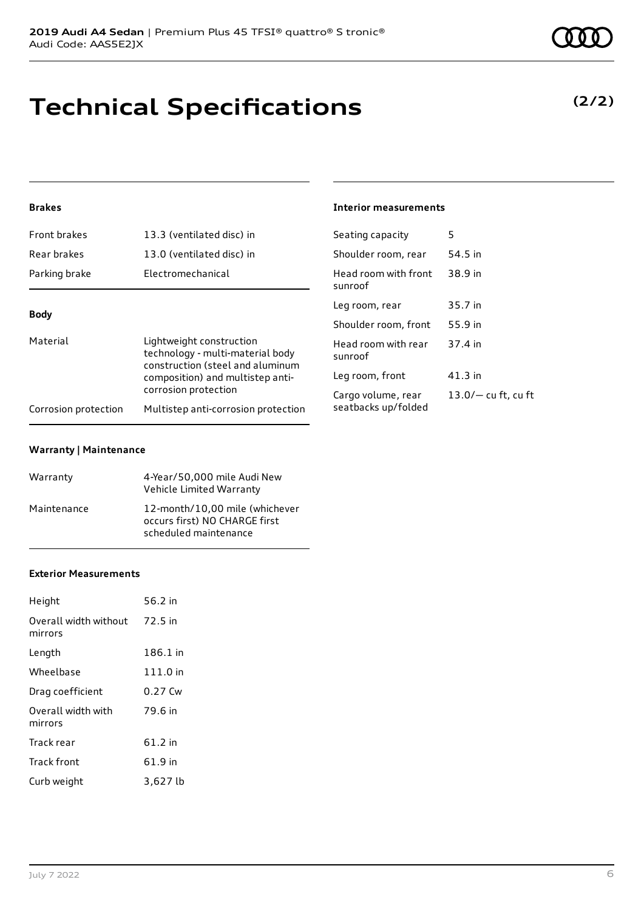# **Technical Specifications**

### **Brakes**

| Front brakes                                                                                                                | 13.3 (ventilated disc) in           | Seating capacity                | 5                     |
|-----------------------------------------------------------------------------------------------------------------------------|-------------------------------------|---------------------------------|-----------------------|
| Rear brakes                                                                                                                 | 13.0 (ventilated disc) in           | Shoulder room, rear             | 54.5 in               |
| Parking brake                                                                                                               | Electromechanical                   | Head room with front<br>sunroof | 38.9 in               |
| <b>Body</b><br>Material<br>Lightweight construction<br>technology - multi-material body<br>construction (steel and aluminum |                                     | Leg room, rear                  | 35.7 in               |
|                                                                                                                             |                                     | Shoulder room, front            | 55.9 in               |
|                                                                                                                             |                                     | Head room with rear<br>sunroof  | 37.4 in               |
| composition) and multistep anti-                                                                                            | Leg room, front                     | $41.3$ in                       |                       |
| corrosion protection                                                                                                        |                                     | Cargo volume, rear              | $13.0/-$ cu ft, cu ft |
| Corrosion protection                                                                                                        | Multistep anti-corrosion protection | seatbacks up/folded             |                       |

#### **Warranty | Maintenance**

| Warranty    | 4-Year/50,000 mile Audi New<br>Vehicle Limited Warranty                                  |
|-------------|------------------------------------------------------------------------------------------|
| Maintenance | 12-month/10.00 mile (whichever<br>occurs first) NO CHARGE first<br>scheduled maintenance |

#### **Exterior Measurements**

| Height                           | 56.2 in   |
|----------------------------------|-----------|
| Overall width without<br>mirrors | 72.5 in   |
| Length                           | 186.1 in  |
| Wheelbase                        | 111.0 in  |
| Drag coefficient                 | 0.27 Cw   |
| Overall width with<br>mirrors    | 79.6 in   |
| Track rear                       | $61.2$ in |
| <b>Track front</b>               | 61.9 in   |
| Curb weight                      | 3,627 lb  |

#### **Interior measurements**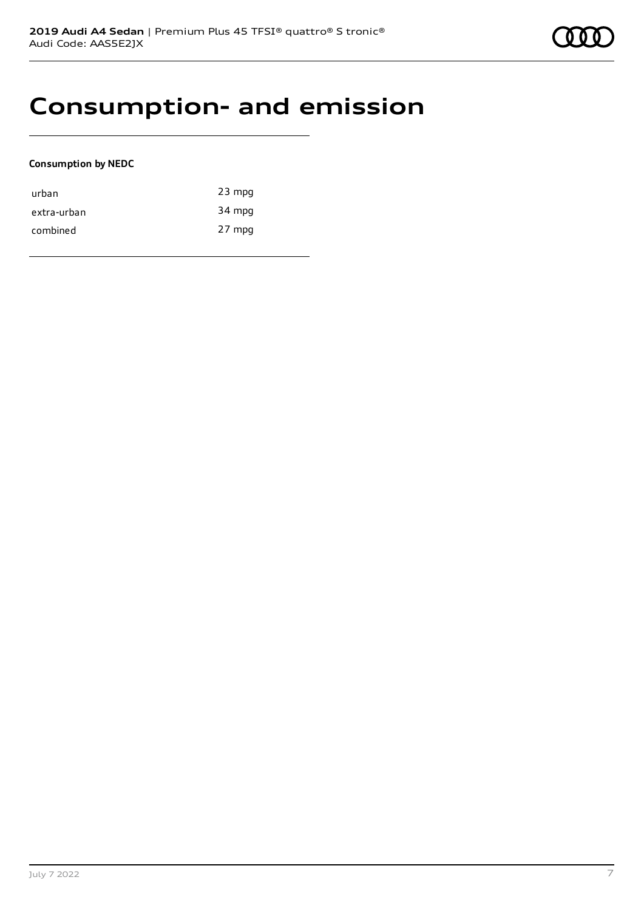### **Consumption- and emission**

#### **Consumption by NEDC**

| urban       | $23$ mpg |
|-------------|----------|
| extra-urban | 34 mpg   |
| combined    | 27 mpg   |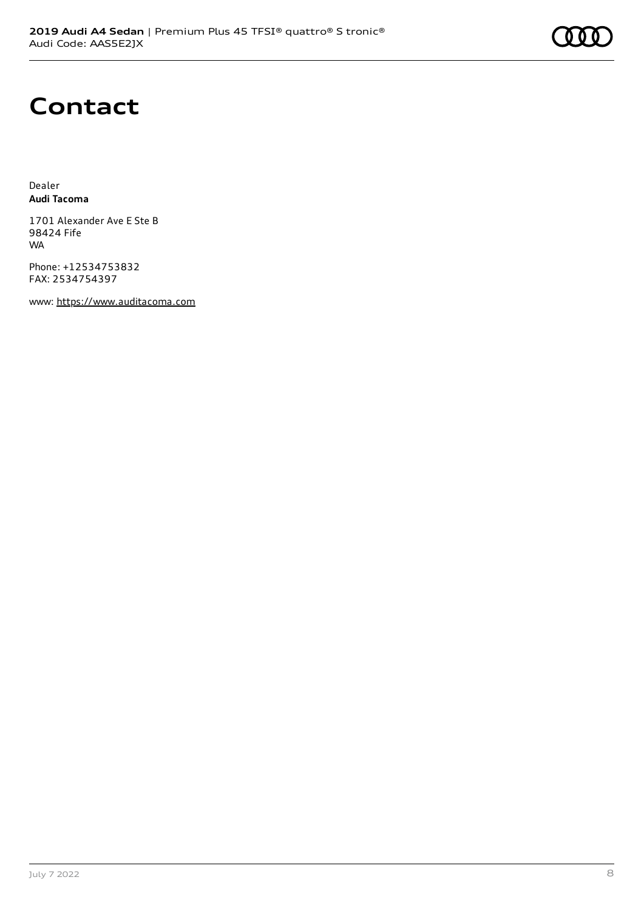## **Contact**

Dealer **Audi Tacoma**

1701 Alexander Ave E Ste B 98424 Fife **WA** 

Phone: +12534753832 FAX: 2534754397

www: [https://www.auditacoma.com](https://www.auditacoma.com/)